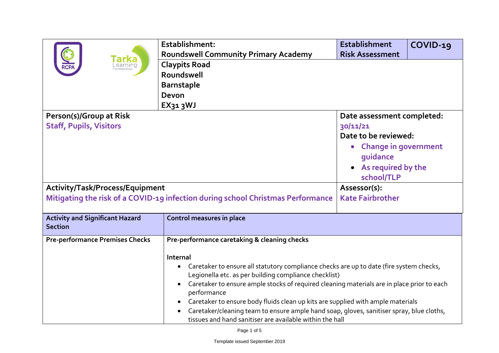|                                                                                                                    | Establishment:<br><b>Roundswell Community Primary Academy</b>                                                                                                                                                                                                                                                                                                                                                                                                                                                                                                        | <b>Establishment</b><br><b>Risk Assessment</b>                                                                                                                               | $COVID-19$ |
|--------------------------------------------------------------------------------------------------------------------|----------------------------------------------------------------------------------------------------------------------------------------------------------------------------------------------------------------------------------------------------------------------------------------------------------------------------------------------------------------------------------------------------------------------------------------------------------------------------------------------------------------------------------------------------------------------|------------------------------------------------------------------------------------------------------------------------------------------------------------------------------|------------|
|                                                                                                                    | <b>Claypits Road</b><br>Roundswell<br><b>Barnstaple</b><br>Devon<br>$EX_{31}$ 3WJ                                                                                                                                                                                                                                                                                                                                                                                                                                                                                    |                                                                                                                                                                              |            |
| Person(s)/Group at Risk<br><b>Staff, Pupils, Visitors</b>                                                          |                                                                                                                                                                                                                                                                                                                                                                                                                                                                                                                                                                      | Date assessment completed:<br>30/11/21<br>Date to be reviewed:<br><b>Change in government</b><br>$\bullet$<br>quidance<br>• As required by the<br>school/TLP<br>Assessor(s): |            |
| Activity/Task/Process/Equipment<br>Mitigating the risk of a COVID-19 infection during school Christmas Performance |                                                                                                                                                                                                                                                                                                                                                                                                                                                                                                                                                                      | <b>Kate Fairbrother</b>                                                                                                                                                      |            |
| <b>Activity and Significant Hazard</b><br><b>Section</b>                                                           | <b>Control measures in place</b>                                                                                                                                                                                                                                                                                                                                                                                                                                                                                                                                     |                                                                                                                                                                              |            |
| <b>Pre-performance Premises Checks</b>                                                                             | Pre-performance caretaking & cleaning checks<br>Internal<br>Caretaker to ensure all statutory compliance checks are up to date (fire system checks,<br>Legionella etc. as per building compliance checklist)<br>Caretaker to ensure ample stocks of required cleaning materials are in place prior to each<br>performance<br>Caretaker to ensure body fluids clean up kits are supplied with ample materials<br>Caretaker/cleaning team to ensure ample hand soap, gloves, sanitiser spray, blue cloths,<br>tissues and hand sanitiser are available within the hall |                                                                                                                                                                              |            |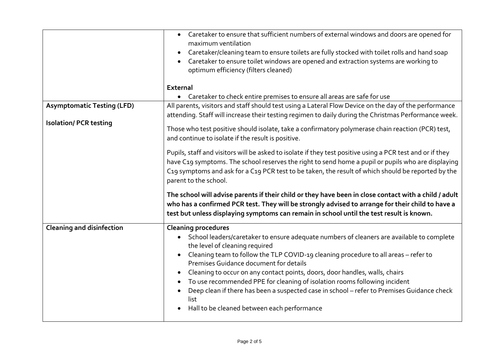|                                   | • Caretaker to ensure that sufficient numbers of external windows and doors are opened for<br>maximum ventilation<br>Caretaker/cleaning team to ensure toilets are fully stocked with toilet rolls and hand soap<br>Caretaker to ensure toilet windows are opened and extraction systems are working to<br>optimum efficiency (filters cleaned)                                                                                                                                                                                                                                                               |  |  |  |
|-----------------------------------|---------------------------------------------------------------------------------------------------------------------------------------------------------------------------------------------------------------------------------------------------------------------------------------------------------------------------------------------------------------------------------------------------------------------------------------------------------------------------------------------------------------------------------------------------------------------------------------------------------------|--|--|--|
|                                   | External                                                                                                                                                                                                                                                                                                                                                                                                                                                                                                                                                                                                      |  |  |  |
|                                   | • Caretaker to check entire premises to ensure all areas are safe for use                                                                                                                                                                                                                                                                                                                                                                                                                                                                                                                                     |  |  |  |
| <b>Asymptomatic Testing (LFD)</b> | All parents, visitors and staff should test using a Lateral Flow Device on the day of the performance                                                                                                                                                                                                                                                                                                                                                                                                                                                                                                         |  |  |  |
|                                   | attending. Staff will increase their testing regimen to daily during the Christmas Performance week.                                                                                                                                                                                                                                                                                                                                                                                                                                                                                                          |  |  |  |
| <b>Isolation/ PCR testing</b>     | Those who test positive should isolate, take a confirmatory polymerase chain reaction (PCR) test,<br>and continue to isolate if the result is positive.                                                                                                                                                                                                                                                                                                                                                                                                                                                       |  |  |  |
|                                   | Pupils, staff and visitors will be asked to isolate if they test positive using a PCR test and or if they<br>have C19 symptoms. The school reserves the right to send home a pupil or pupils who are displaying<br>C19 symptoms and ask for a C19 PCR test to be taken, the result of which should be reported by the<br>parent to the school.                                                                                                                                                                                                                                                                |  |  |  |
|                                   | The school will advise parents if their child or they have been in close contact with a child / adult<br>who has a confirmed PCR test. They will be strongly advised to arrange for their child to have a<br>test but unless displaying symptoms can remain in school until the test result is known.                                                                                                                                                                                                                                                                                                         |  |  |  |
| <b>Cleaning and disinfection</b>  | <b>Cleaning procedures</b><br>• School leaders/caretaker to ensure adequate numbers of cleaners are available to complete<br>the level of cleaning required<br>Cleaning team to follow the TLP COVID-19 cleaning procedure to all areas - refer to<br>Premises Guidance document for details<br>Cleaning to occur on any contact points, doors, door handles, walls, chairs<br>To use recommended PPE for cleaning of isolation rooms following incident<br>Deep clean if there has been a suspected case in school - refer to Premises Guidance check<br>list<br>Hall to be cleaned between each performance |  |  |  |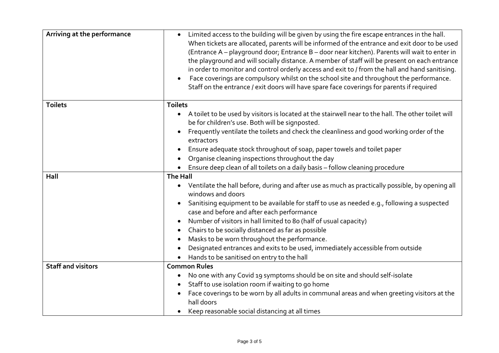| Arriving at the performance | • Limited access to the building will be given by using the fire escape entrances in the hall.<br>When tickets are allocated, parents will be informed of the entrance and exit door to be used<br>(Entrance A - playground door; Entrance B - door near kitchen). Parents will wait to enter in<br>the playground and will socially distance. A member of staff will be present on each entrance<br>in order to monitor and control orderly access and exit to / from the hall and hand sanitising.<br>Face coverings are compulsory whilst on the school site and throughout the performance.<br>Staff on the entrance / exit doors will have spare face coverings for parents if required |  |
|-----------------------------|----------------------------------------------------------------------------------------------------------------------------------------------------------------------------------------------------------------------------------------------------------------------------------------------------------------------------------------------------------------------------------------------------------------------------------------------------------------------------------------------------------------------------------------------------------------------------------------------------------------------------------------------------------------------------------------------|--|
| <b>Toilets</b>              | <b>Toilets</b>                                                                                                                                                                                                                                                                                                                                                                                                                                                                                                                                                                                                                                                                               |  |
|                             | A toilet to be used by visitors is located at the stairwell near to the hall. The other toilet will<br>be for children's use. Both will be signposted.                                                                                                                                                                                                                                                                                                                                                                                                                                                                                                                                       |  |
|                             | Frequently ventilate the toilets and check the cleanliness and good working order of the<br>extractors                                                                                                                                                                                                                                                                                                                                                                                                                                                                                                                                                                                       |  |
|                             | Ensure adequate stock throughout of soap, paper towels and toilet paper                                                                                                                                                                                                                                                                                                                                                                                                                                                                                                                                                                                                                      |  |
|                             | Organise cleaning inspections throughout the day                                                                                                                                                                                                                                                                                                                                                                                                                                                                                                                                                                                                                                             |  |
|                             | Ensure deep clean of all toilets on a daily basis - follow cleaning procedure                                                                                                                                                                                                                                                                                                                                                                                                                                                                                                                                                                                                                |  |
| Hall                        | <b>The Hall</b>                                                                                                                                                                                                                                                                                                                                                                                                                                                                                                                                                                                                                                                                              |  |
|                             | • Ventilate the hall before, during and after use as much as practically possible, by opening all<br>windows and doors                                                                                                                                                                                                                                                                                                                                                                                                                                                                                                                                                                       |  |
|                             | Sanitising equipment to be available for staff to use as needed e.g., following a suspected<br>case and before and after each performance                                                                                                                                                                                                                                                                                                                                                                                                                                                                                                                                                    |  |
|                             | Number of visitors in hall limited to 80 (half of usual capacity)                                                                                                                                                                                                                                                                                                                                                                                                                                                                                                                                                                                                                            |  |
|                             | Chairs to be socially distanced as far as possible                                                                                                                                                                                                                                                                                                                                                                                                                                                                                                                                                                                                                                           |  |
|                             | Masks to be worn throughout the performance.                                                                                                                                                                                                                                                                                                                                                                                                                                                                                                                                                                                                                                                 |  |
|                             | Designated entrances and exits to be used, immediately accessible from outside                                                                                                                                                                                                                                                                                                                                                                                                                                                                                                                                                                                                               |  |
|                             | Hands to be sanitised on entry to the hall                                                                                                                                                                                                                                                                                                                                                                                                                                                                                                                                                                                                                                                   |  |
| <b>Staff and visitors</b>   | <b>Common Rules</b>                                                                                                                                                                                                                                                                                                                                                                                                                                                                                                                                                                                                                                                                          |  |
|                             | No one with any Covid 19 symptoms should be on site and should self-isolate                                                                                                                                                                                                                                                                                                                                                                                                                                                                                                                                                                                                                  |  |
|                             | Staff to use isolation room if waiting to go home                                                                                                                                                                                                                                                                                                                                                                                                                                                                                                                                                                                                                                            |  |
|                             | Face coverings to be worn by all adults in communal areas and when greeting visitors at the<br>hall doors                                                                                                                                                                                                                                                                                                                                                                                                                                                                                                                                                                                    |  |
|                             | Keep reasonable social distancing at all times                                                                                                                                                                                                                                                                                                                                                                                                                                                                                                                                                                                                                                               |  |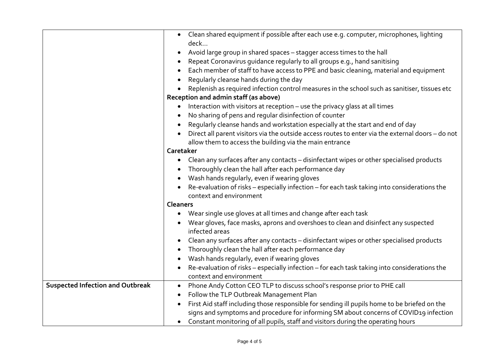|                                         | • Clean shared equipment if possible after each use e.g. computer, microphones, lighting             |  |
|-----------------------------------------|------------------------------------------------------------------------------------------------------|--|
|                                         | deck                                                                                                 |  |
|                                         | Avoid large group in shared spaces - stagger access times to the hall                                |  |
|                                         | Repeat Coronavirus guidance regularly to all groups e.g., hand sanitising                            |  |
|                                         | Each member of staff to have access to PPE and basic cleaning, material and equipment                |  |
|                                         | Regularly cleanse hands during the day                                                               |  |
|                                         | Replenish as required infection control measures in the school such as sanitiser, tissues etc        |  |
|                                         | Reception and admin staff (as above)                                                                 |  |
|                                         | Interaction with visitors at reception - use the privacy glass at all times                          |  |
|                                         | No sharing of pens and regular disinfection of counter                                               |  |
|                                         | Regularly cleanse hands and workstation especially at the start and end of day                       |  |
|                                         | Direct all parent visitors via the outside access routes to enter via the external doors - do not    |  |
|                                         | allow them to access the building via the main entrance                                              |  |
|                                         | Caretaker                                                                                            |  |
|                                         | Clean any surfaces after any contacts - disinfectant wipes or other specialised products             |  |
|                                         | Thoroughly clean the hall after each performance day                                                 |  |
|                                         | Wash hands regularly, even if wearing gloves                                                         |  |
|                                         | Re-evaluation of risks - especially infection - for each task taking into considerations the         |  |
|                                         | context and environment                                                                              |  |
|                                         | <b>Cleaners</b>                                                                                      |  |
|                                         | Wear single use gloves at all times and change after each task                                       |  |
|                                         | Wear gloves, face masks, aprons and overshoes to clean and disinfect any suspected<br>infected areas |  |
|                                         | Clean any surfaces after any contacts - disinfectant wipes or other specialised products             |  |
|                                         | Thoroughly clean the hall after each performance day                                                 |  |
|                                         | Wash hands regularly, even if wearing gloves                                                         |  |
|                                         | Re-evaluation of risks - especially infection - for each task taking into considerations the         |  |
|                                         | context and environment                                                                              |  |
| <b>Suspected Infection and Outbreak</b> | Phone Andy Cotton CEO TLP to discuss school's response prior to PHE call<br>$\bullet$                |  |
|                                         | Follow the TLP Outbreak Management Plan                                                              |  |
|                                         | First Aid staff including those responsible for sending ill pupils home to be briefed on the         |  |
|                                         | signs and symptoms and procedure for informing SM about concerns of COVID19 infection                |  |
|                                         | • Constant monitoring of all pupils, staff and visitors during the operating hours                   |  |